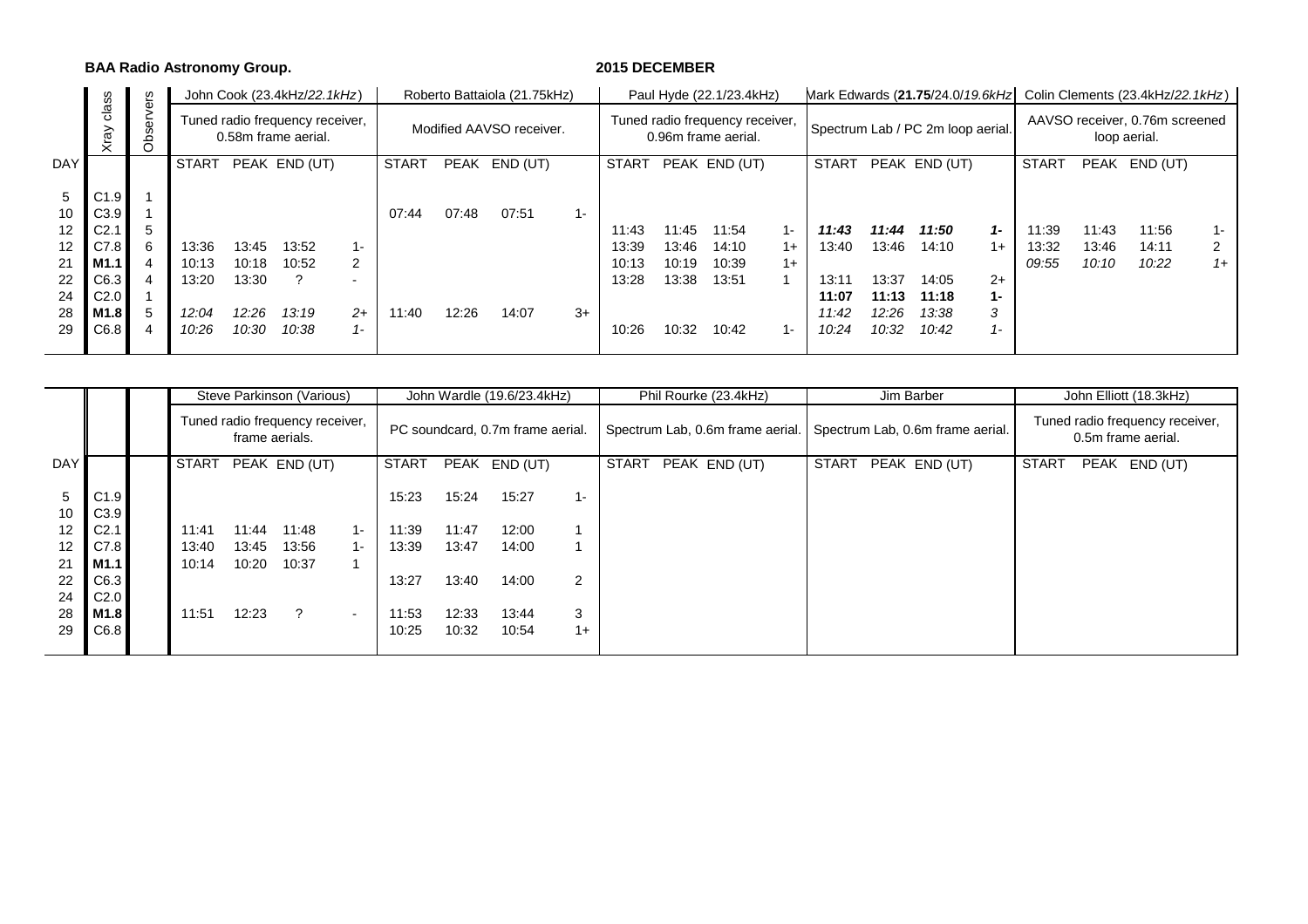**BAA Radio Astronomy Group. 2015 DECEMBER**

|            | ဖ                |           |              |       | John Cook (23.4kHz/22.1kHz)                            |                          |              |             | Roberto Battaiola (21.75kHz) |       |                |                                                        | Paul Hyde (22.1/23.4kHz) |               |                |                                   |                |                                                |                |                | Mark Edwards (21.75/24.0/19.6kHz) Colin Clements (23.4kHz/22.1kHz) |      |  |  |  |  |  |
|------------|------------------|-----------|--------------|-------|--------------------------------------------------------|--------------------------|--------------|-------------|------------------------------|-------|----------------|--------------------------------------------------------|--------------------------|---------------|----------------|-----------------------------------|----------------|------------------------------------------------|----------------|----------------|--------------------------------------------------------------------|------|--|--|--|--|--|
|            | clas<br>Xray     | Observers |              |       | Tuned radio frequency receiver,<br>0.58m frame aerial. |                          |              |             | Modified AAVSO receiver.     |       |                | Tuned radio frequency receiver,<br>0.96m frame aerial. |                          |               |                | Spectrum Lab / PC 2m loop aerial. |                | AAVSO receiver, 0.76m screened<br>loop aerial. |                |                |                                                                    |      |  |  |  |  |  |
| <b>DAY</b> |                  |           | <b>START</b> |       | PEAK END (UT)                                          |                          | <b>START</b> | <b>PEAK</b> | END (UT)                     |       | <b>START</b>   |                                                        | PEAK END (UT)            |               | <b>START</b>   |                                   | PEAK END (UT)  |                                                | START          |                | PEAK END (UT)                                                      |      |  |  |  |  |  |
| 5          | C1.9             |           |              |       |                                                        |                          |              |             |                              |       |                |                                                        |                          |               |                |                                   |                |                                                |                |                |                                                                    |      |  |  |  |  |  |
| 10         | C3.9             |           |              |       |                                                        |                          | 07:44        | 07:48       | 07:51                        | $1 -$ |                |                                                        |                          |               |                |                                   |                |                                                |                |                |                                                                    |      |  |  |  |  |  |
| 12<br>12   | C2.7<br>C7.8     | 5<br>6    | 13:36        | 13:45 | 13:52                                                  | 1-                       |              |             |                              |       | 11:43<br>13:39 | 11:45<br>13:46                                         | 11:54<br>14:10           | $1 -$<br>$1+$ | 11:43<br>13:40 | 11:44<br>13:46                    | 11:50<br>14:10 | $1 -$<br>$1+$                                  | 11:39<br>13:32 | 11:43<br>13:46 | 11:56<br>14:11                                                     | 1-   |  |  |  |  |  |
| 21         | M <sub>1.1</sub> |           | 10:13        | 10:18 | 10:52                                                  | 2                        |              |             |                              |       | 10:13          | 10:19                                                  | 10:39                    | $1+$          |                |                                   |                |                                                | 09:55          | 10:10          | 10:22                                                              | $1+$ |  |  |  |  |  |
| 22         | C6.3             |           | 13:20        | 13:30 |                                                        | $\overline{\phantom{0}}$ |              |             |                              |       | 13:28          | 13:38                                                  | 13:51                    |               | 13:11          | 13:37                             | 14:05          | $2+$                                           |                |                |                                                                    |      |  |  |  |  |  |
| 24         | C2.0             |           |              |       |                                                        |                          |              |             |                              |       |                |                                                        |                          |               | 11:07          | 11:13                             | 11:18          | $1 -$                                          |                |                |                                                                    |      |  |  |  |  |  |
| 28         | M1.8             | 5         | 12:04        | 12:26 | 13:19                                                  | $2+$                     | 11:40        | 12:26       | 14:07                        | $3+$  |                |                                                        |                          |               | 11:42          | 12:26                             | 13:38          | 3                                              |                |                |                                                                    |      |  |  |  |  |  |
| 29         | C6.8             |           | 10:26        | 10:30 | 10:38                                                  | $1 -$                    |              |             |                              |       | 10:26          | 10:32                                                  | 10:42                    | $1 -$         | 10:24          | 10:32                             | 10:42          | $1 -$                                          |                |                |                                                                    |      |  |  |  |  |  |
|            |                  |           |              |       |                                                        |                          |              |             |                              |       |                |                                                        |                          |               |                |                                   |                |                                                |                |                |                                                                    |      |  |  |  |  |  |

|            |                  |              |       | Steve Parkinson (Various)                         |        |       |       | John Wardle (19.6/23.4kHz)       |       | Phil Rourke (23.4kHz)  | Jim Barber                                                        | John Elliott (18.3kHz)                                |  |  |  |  |  |
|------------|------------------|--------------|-------|---------------------------------------------------|--------|-------|-------|----------------------------------|-------|------------------------|-------------------------------------------------------------------|-------------------------------------------------------|--|--|--|--|--|
|            |                  |              |       | Tuned radio frequency receiver,<br>frame aerials. |        |       |       | PC soundcard, 0.7m frame aerial. |       |                        | Spectrum Lab, 0.6m frame aerial. Spectrum Lab, 0.6m frame aerial. | Tuned radio frequency receiver,<br>0.5m frame aerial. |  |  |  |  |  |
| <b>DAY</b> |                  | <b>START</b> |       | PEAK END (UT)                                     |        | START |       | PEAK END (UT)                    |       | PEAK END (UT)<br>START | START<br>PEAK END (UT)                                            | START<br>PEAK END (UT)                                |  |  |  |  |  |
|            |                  |              |       |                                                   |        |       |       |                                  |       |                        |                                                                   |                                                       |  |  |  |  |  |
| 5          | C1.9             |              |       |                                                   |        | 15:23 | 15:24 | 15:27                            | $1 -$ |                        |                                                                   |                                                       |  |  |  |  |  |
| 10         | C3.9             |              |       |                                                   |        |       |       |                                  |       |                        |                                                                   |                                                       |  |  |  |  |  |
| 12         | C <sub>2.1</sub> | 11:41        | 11:44 | 11:48                                             | $1 -$  | 11:39 | 11:47 | 12:00                            |       |                        |                                                                   |                                                       |  |  |  |  |  |
| 12         | C7.8             | 13:40        | 13:45 | 13:56                                             | 1-     | 13:39 | 13:47 | 14:00                            |       |                        |                                                                   |                                                       |  |  |  |  |  |
| 21         | M1.1             | 10:14        | 10:20 | 10:37                                             |        |       |       |                                  |       |                        |                                                                   |                                                       |  |  |  |  |  |
| 22         | C6.3             |              |       |                                                   |        | 13:27 | 13:40 | 14:00                            | 2     |                        |                                                                   |                                                       |  |  |  |  |  |
| 24         | C <sub>2.0</sub> |              |       |                                                   |        |       |       |                                  |       |                        |                                                                   |                                                       |  |  |  |  |  |
| 28         | M1.8             | 11:51        | 12:23 | $\gamma$                                          | $\sim$ | 11:53 | 12:33 | 13:44                            | 3     |                        |                                                                   |                                                       |  |  |  |  |  |
| 29         | C6.8             |              |       |                                                   |        | 10:25 | 10:32 | 10:54                            | $1+$  |                        |                                                                   |                                                       |  |  |  |  |  |
|            |                  |              |       |                                                   |        |       |       |                                  |       |                        |                                                                   |                                                       |  |  |  |  |  |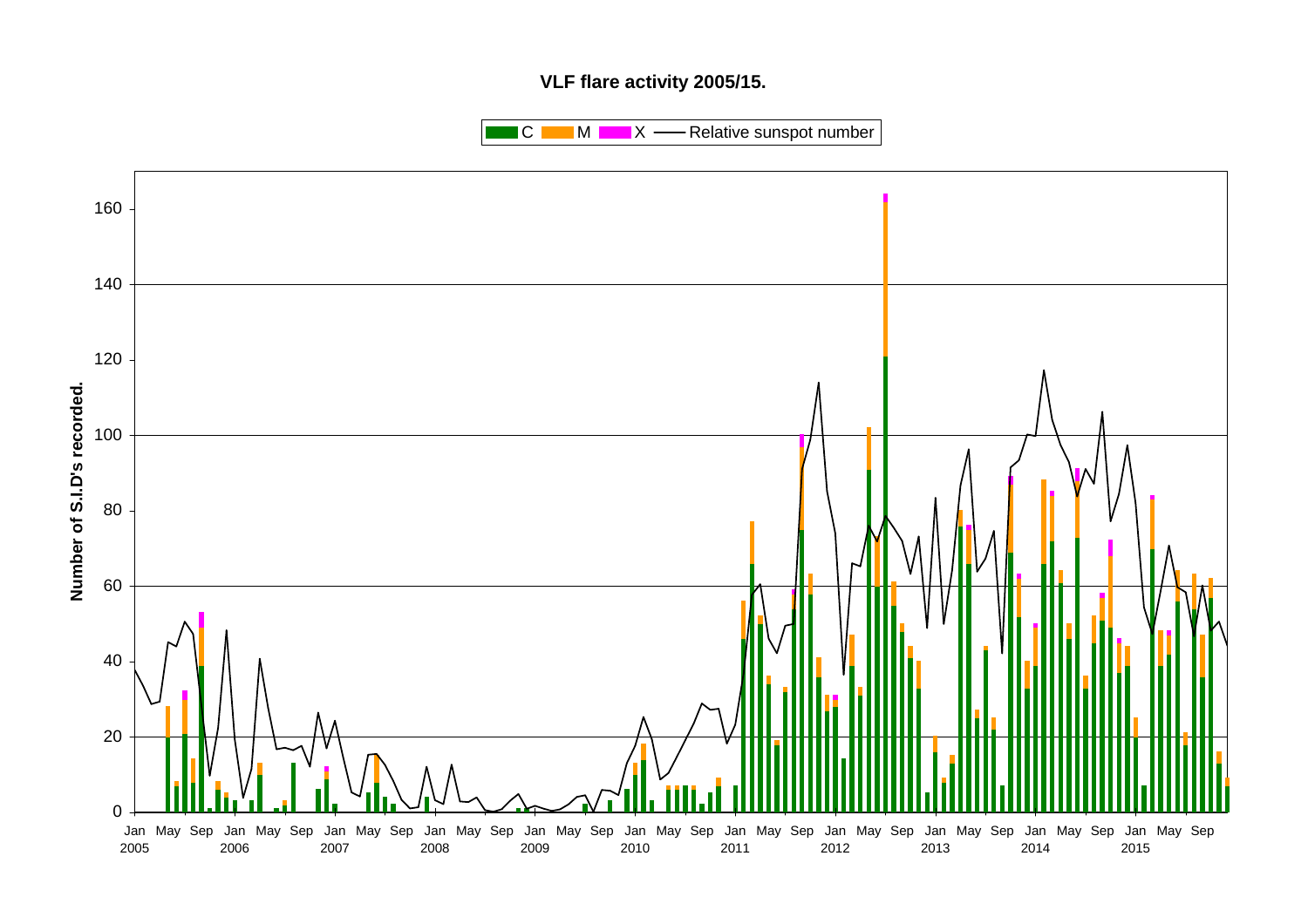## **VLF flare activity 2005/15.**

 $\blacksquare$  C  $\blacksquare$  M  $\blacksquare$   $\blacksquare$  X  $\blacksquare$  Relative sunspot number

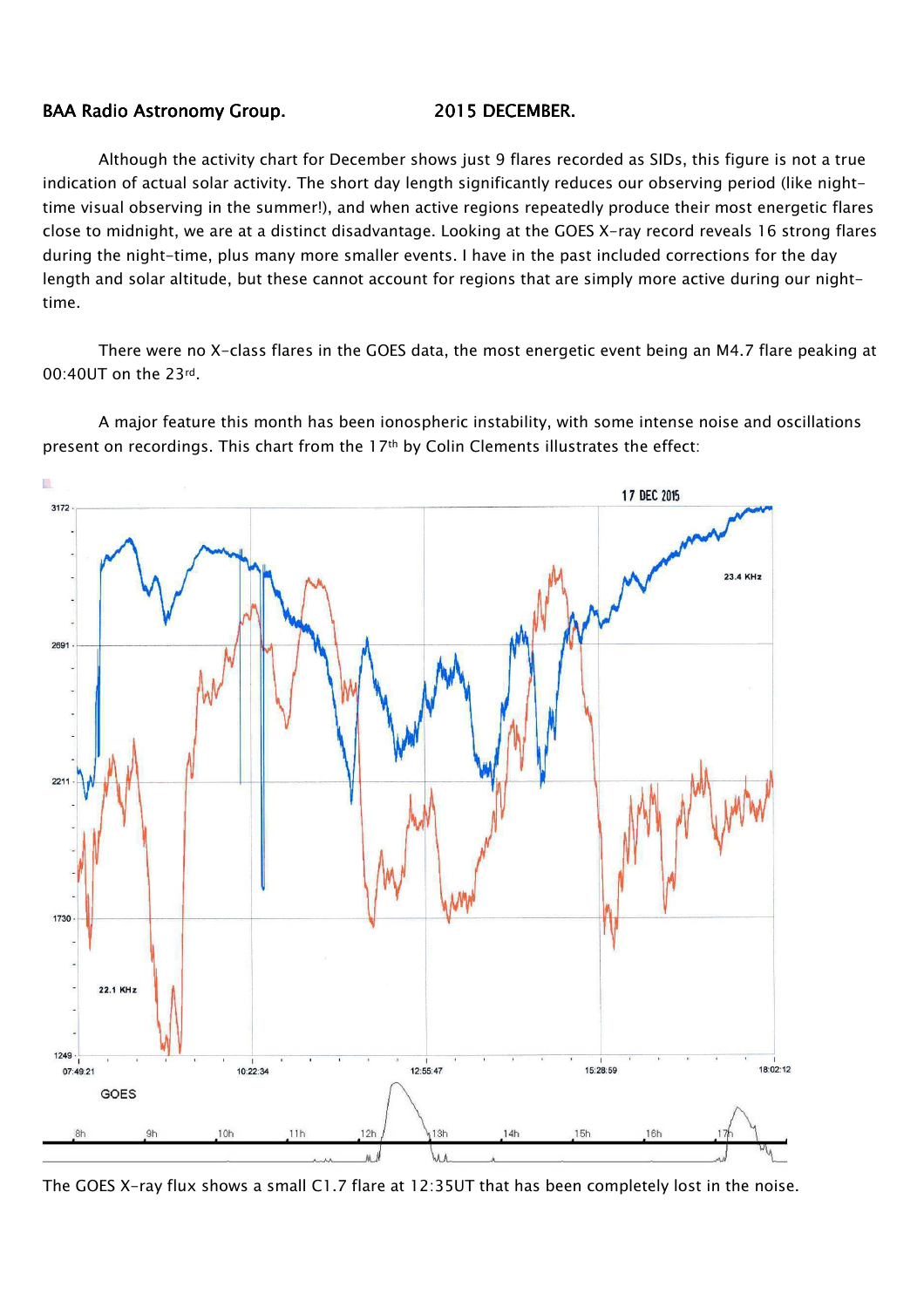### BAA Radio Astronomy Group. 2015 DECEMBER.

Although the activity chart for December shows just 9 flares recorded as SIDs, this figure is not a true indication of actual solar activity. The short day length significantly reduces our observing period (like nighttime visual observing in the summer!), and when active regions repeatedly produce their most energetic flares close to midnight, we are at a distinct disadvantage. Looking at the GOES X-ray record reveals 16 strong flares during the night-time, plus many more smaller events. I have in the past included corrections for the day length and solar altitude, but these cannot account for regions that are simply more active during our nighttime.

There were no X-class flares in the GOES data, the most energetic event being an M4.7 flare peaking at 00:40UT on the 23rd.



A major feature this month has been ionospheric instability, with some intense noise and oscillations present on recordings. This chart from the 17th by Colin Clements illustrates the effect:

The GOES X-ray flux shows a small C1.7 flare at 12:35UT that has been completely lost in the noise.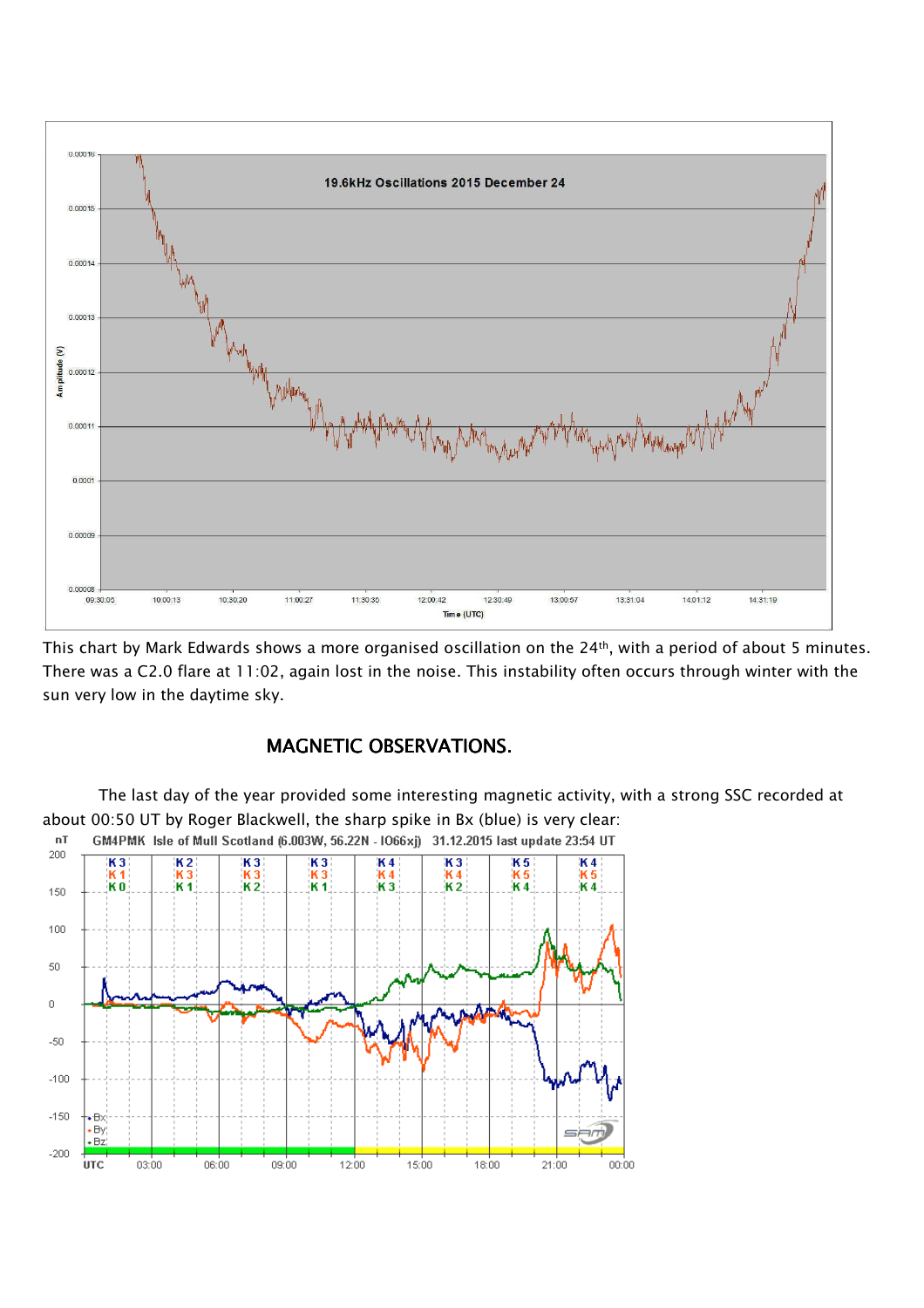

This chart by Mark Edwards shows a more organised oscillation on the 24<sup>th</sup>, with a period of about 5 minutes. There was a C2.0 flare at 11:02, again lost in the noise. This instability often occurs through winter with the sun very low in the daytime sky.

# MAGNETIC OBSERVATIONS.

The last day of the year provided some interesting magnetic activity, with a strong SSC recorded at about 00:50 UT by Roger Blackwell, the sharp spike in Bx (blue) is very clear:

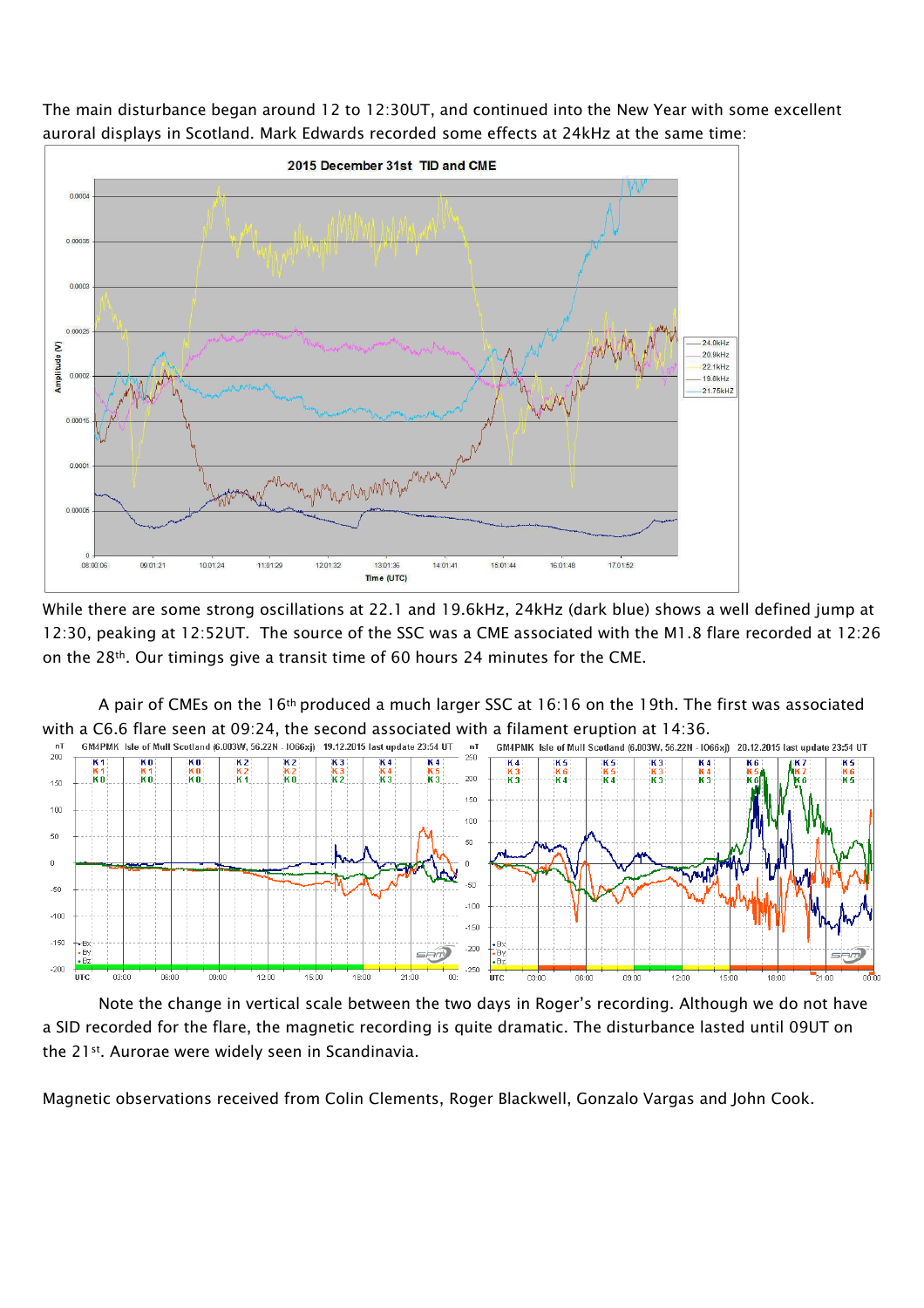The main disturbance began around 12 to 12:30UT, and continued into the New Year with some excellent auroral displays in Scotland. Mark Edwards recorded some effects at 24kHz at the same time:



While there are some strong oscillations at 22.1 and 19.6kHz, 24kHz (dark blue) shows a well defined jump at 12:30, peaking at 12:52UT. The source of the SSC was a CME associated with the M1.8 flare recorded at 12:26 on the 28th. Our timings give a transit time of 60 hours 24 minutes for the CME.



Note the change in vertical scale between the two days in Roger's recording. Although we do not have a SID recorded for the flare, the magnetic recording is quite dramatic. The disturbance lasted until 09UT on the 21<sup>st</sup>. Aurorae were widely seen in Scandinavia.

Magnetic observations received from Colin Clements, Roger Blackwell, Gonzalo Vargas and John Cook.